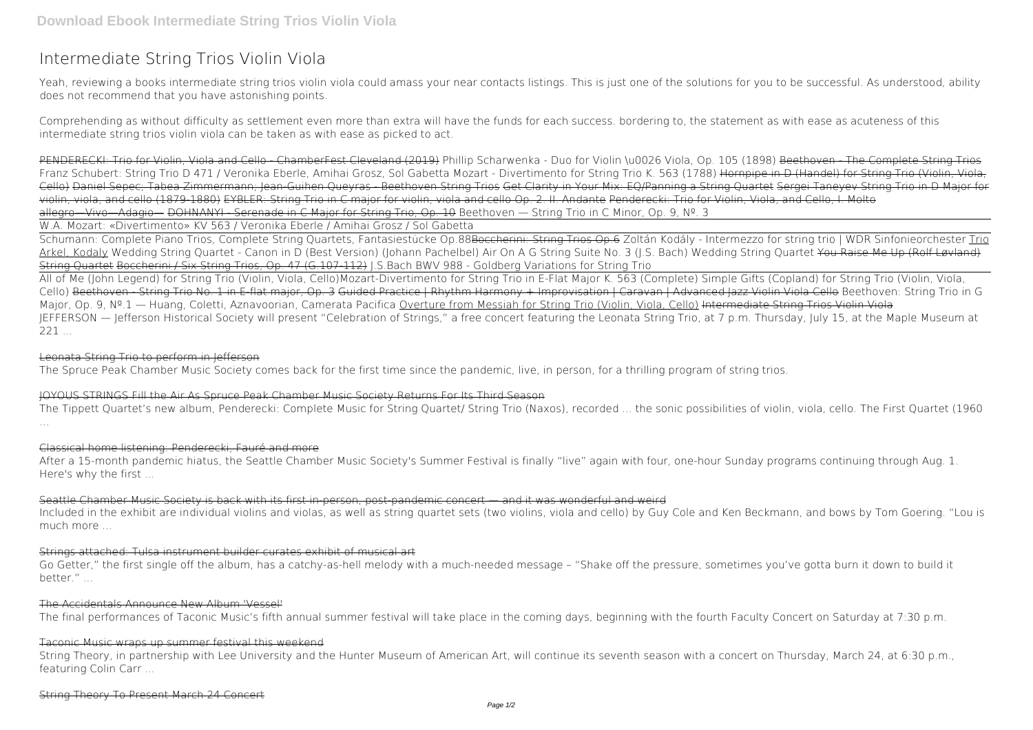# **Intermediate String Trios Violin Viola**

Yeah, reviewing a books **intermediate string trios violin viola** could amass your near contacts listings. This is just one of the solutions for you to be successful. As understood, ability does not recommend that you have astonishing points.

Comprehending as without difficulty as settlement even more than extra will have the funds for each success. bordering to, the statement as with ease as acuteness of this intermediate string trios violin viola can be taken as with ease as picked to act.

PENDERECKI: Trio for Violin, Viola and Cello - ChamberFest Cleveland (2019) Phillip Scharwenka - Duo for Violin \u0026 Viola, Op. 105 (1898) Beethoven - The Complete String Trios *Franz Schubert: String Trio D 471 / Veronika Eberle, Amihai Grosz, Sol Gabetta Mozart - Divertimento for String Trio K. 563 (1788)* Hornpipe in D (Handel) for String Trio (Violin, Viola, Cello) Daniel Sepec; Tabea Zimmermann; Jean-Guihen Queyras - Beethoven String Trios Get Clarity in Your Mix: EQ/Panning a String Quartet Sergei Taneyev String Trio in D Major for violin, viola, and cello (1879-1880) EYBLER: String Trio in C major for violin, viola and cello Op. 2. II. Andante Penderecki: Trio for Violin, Viola, and Cello, I. Molto allegro—Vivo—Adagio— DOHNANYI - Serenade in C Major for String Trio, Op. 10 **Beethoven — String Trio in C Minor, Op. 9, Nº. 3**

W.A. Mozart: «Divertimento» KV 563 / Veronika Eberle / Amihai Grosz / Sol Gabetta

Schumann: Complete Piano Trios, Complete String Quartets, Fantasiestücke Op.88Boccherini: String Trios Op.6 **Zoltán Kodály - Intermezzo for string trio | WDR Sinfonieorchester** Trio Arkel, Kodaly *Wedding String Quartet - Canon in D (Best Version) (Johann Pachelbel)* **Air On A G String Suite No. 3 (J.S. Bach) Wedding String Quartet** You Raise Me Up (Rolf Løvland) String Quartet Boccherini / Six String Trios, Op. 47 (G.107-112) **J.S.Bach BWV 988 - Goldberg Variations for String Trio**

String Theory, in partnership with Lee University and the Hunter Museum of American Art, will continue its seventh season with a concert on Thursday, March 24, at 6:30 p.m., featuring Colin Carr ...

All of Me (John Legend) for String Trio (Violin, Viola, Cello)*Mozart-Divertimento for String Trio in E-Flat Major K. 563 (Complete)* **Simple Gifts (Copland) for String Trio (Violin, Viola, Cello)** Beethoven - String Trio No. 1 in E-flat major, Op. 3 Guided Practice | Rhythm Harmony + Improvisation | Caravan | Advanced Jazz Violin Viola Cello *Beethoven: String Trio in G* Major, Op. 9, Nº.1 — Huang, Coletti, Aznavoorian, Camerata Pacifica Overture from Messiah for String Trio (Violin, Viola, Cello) Intermediate String Trios Violin Viola JEFFERSON — Jefferson Historical Society will present "Celebration of Strings," a free concert featuring the Leonata String Trio, at 7 p.m. Thursday, July 15, at the Maple Museum at 221 ...

# Leonata String Trio to perform in Jefferson

The Spruce Peak Chamber Music Society comes back for the first time since the pandemic, live, in person, for a thrilling program of string trios.

# JOYOUS STRINGS Fill the Air As Spruce Peak Chamber Music Society Returns For Its Third Season

The Tippett Quartet's new album, Penderecki: Complete Music for String Quartet/ String Trio (Naxos), recorded ... the sonic possibilities of violin, viola, cello. The First Quartet (1960 ...

# Classical home listening: Penderecki, Fauré and more

After a 15-month pandemic hiatus, the Seattle Chamber Music Society's Summer Festival is finally "live" again with four, one-hour Sunday programs continuing through Aug. 1. Here's why the first ...

Seattle Chamber Music Society is back with its first in-person, post-pandemic concert — and it was wonderful and weird

Included in the exhibit are individual violins and violas, as well as string quartet sets (two violins, viola and cello) by Guy Cole and Ken Beckmann, and bows by Tom Goering. "Lou is much more ...

# Strings attached: Tulsa instrument builder curates exhibit of musical art

Go Getter," the first single off the album, has a catchy-as-hell melody with a much-needed message – "Shake off the pressure, sometimes you've gotta burn it down to build it better." ...

# The Accidentals Announce New Album 'Vessel'

The final performances of Taconic Music's fifth annual summer festival will take place in the coming days, beginning with the fourth Faculty Concert on Saturday at 7:30 p.m.

# Taconic Music wraps up summer festival this weekend

# String Theory To Present March 24 Concert